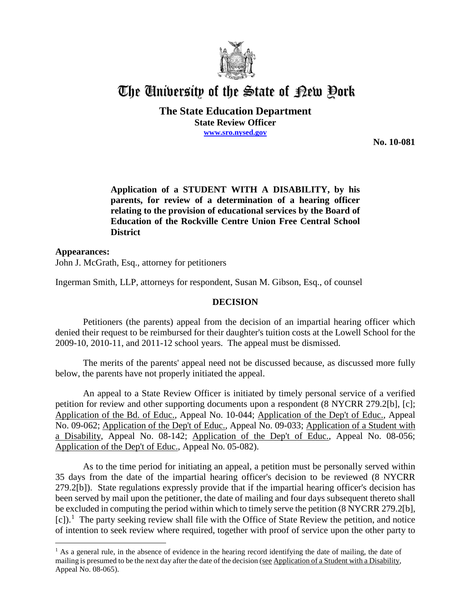

## The University of the State of Pew Pork

**The State Education Department State Review Officer www.sro.nysed.gov**

**No. 10-081** 

**Application of a STUDENT WITH A DISABILITY, by his parents, for review of a determination of a hearing officer relating to the provision of educational services by the Board of Education of the Rockville Centre Union Free Central School District**

**Appearances:** John J. McGrath, Esq., attorney for petitioners

 $\overline{a}$ 

Ingerman Smith, LLP, attorneys for respondent, Susan M. Gibson, Esq., of counsel

## **DECISION**

Petitioners (the parents) appeal from the decision of an impartial hearing officer which denied their request to be reimbursed for their daughter's tuition costs at the Lowell School for the 2009-10, 2010-11, and 2011-12 school years. The appeal must be dismissed.

The merits of the parents' appeal need not be discussed because, as discussed more fully below, the parents have not properly initiated the appeal.

An appeal to a State Review Officer is initiated by timely personal service of a verified petition for review and other supporting documents upon a respondent (8 NYCRR 279.2[b], [c]; Application of the Bd. of Educ., Appeal No. 10-044; Application of the Dep't of Educ., Appeal No. 09-062; Application of the Dep't of Educ., Appeal No. 09-033; Application of a Student with a Disability, Appeal No. 08-142; Application of the Dep't of Educ., Appeal No. 08-056; Application of the Dep't of Educ., Appeal No. 05-082).

As to the time period for initiating an appeal, a petition must be personally served within 35 days from the date of the impartial hearing officer's decision to be reviewed (8 NYCRR 279.2[b]). State regulations expressly provide that if the impartial hearing officer's decision has been served by mail upon the petitioner, the date of mailing and four days subsequent thereto shall be excluded in computing the period within which to timely serve the petition (8 NYCRR 279.2[b], [c]).<sup>1</sup> The party seeking review shall file with the Office of State Review the petition, and notice of intention to seek review where required, together with proof of service upon the other party to

 $<sup>1</sup>$  As a general rule, in the absence of evidence in the hearing record identifying the date of mailing, the date of</sup> mailing is presumed to be the next day after the date of the decision (see Application of a Student with a Disability, Appeal No. 08-065).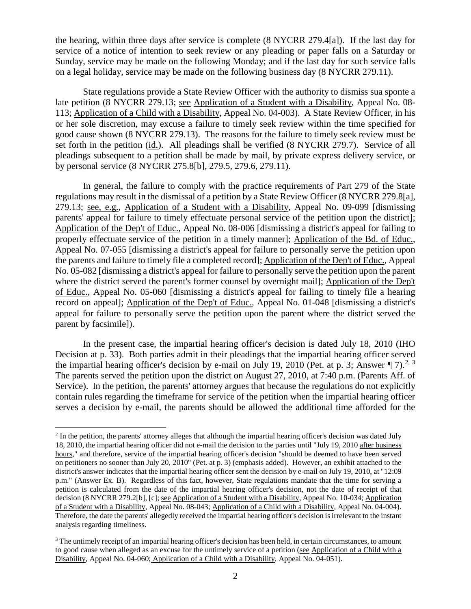the hearing, within three days after service is complete (8 NYCRR 279.4[a]). If the last day for service of a notice of intention to seek review or any pleading or paper falls on a Saturday or Sunday, service may be made on the following Monday; and if the last day for such service falls on a legal holiday, service may be made on the following business day (8 NYCRR 279.11).

State regulations provide a State Review Officer with the authority to dismiss sua sponte a late petition (8 NYCRR 279.13; see Application of a Student with a Disability, Appeal No. 08- 113; Application of a Child with a Disability, Appeal No. 04-003). A State Review Officer, in his or her sole discretion, may excuse a failure to timely seek review within the time specified for good cause shown (8 NYCRR 279.13). The reasons for the failure to timely seek review must be set forth in the petition (id.). All pleadings shall be verified (8 NYCRR 279.7). Service of all pleadings subsequent to a petition shall be made by mail, by private express delivery service, or by personal service (8 NYCRR 275.8[b], 279.5, 279.6, 279.11).

In general, the failure to comply with the practice requirements of Part 279 of the State regulations may result in the dismissal of a petition by a State Review Officer (8 NYCRR 279.8[a], 279.13; see, e.g., Application of a Student with a Disability, Appeal No. 09-099 [dismissing parents' appeal for failure to timely effectuate personal service of the petition upon the district]; Application of the Dep't of Educ., Appeal No. 08-006 [dismissing a district's appeal for failing to properly effectuate service of the petition in a timely manner]; Application of the Bd. of Educ., Appeal No. 07-055 [dismissing a district's appeal for failure to personally serve the petition upon the parents and failure to timely file a completed record]; Application of the Dep't of Educ., Appeal No. 05-082 [dismissing a district's appeal for failure to personally serve the petition upon the parent where the district served the parent's former counsel by overnight mail]; Application of the Dep't of Educ., Appeal No. 05-060 [dismissing a district's appeal for failing to timely file a hearing record on appeal]; Application of the Dep't of Educ., Appeal No. 01-048 [dismissing a district's appeal for failure to personally serve the petition upon the parent where the district served the parent by facsimile]).

In the present case, the impartial hearing officer's decision is dated July 18, 2010 (IHO Decision at p. 33). Both parties admit in their pleadings that the impartial hearing officer served the impartial hearing officer's decision by e-mail on July 19, 2010 (Pet. at p. 3; Answer  $\P$  7).<sup>2, 3</sup> The parents served the petition upon the district on August 27, 2010, at 7:40 p.m. (Parents Aff. of Service). In the petition, the parents' attorney argues that because the regulations do not explicitly contain rules regarding the timeframe for service of the petition when the impartial hearing officer serves a decision by e-mail, the parents should be allowed the additional time afforded for the

 $<sup>2</sup>$  In the petition, the parents' attorney alleges that although the impartial hearing officer's decision was dated July</sup> 18, 2010, the impartial hearing officer did not e-mail the decision to the parties until "July 19, 2010 after business hours," and therefore, service of the impartial hearing officer's decision "should be deemed to have been served on petitioners no sooner than July 20, 2010" (Pet. at p. 3) (emphasis added). However, an exhibit attached to the district's answer indicates that the impartial hearing officer sent the decision by e-mail on July 19, 2010, at "12:09 p.m." (Answer Ex. B). Regardless of this fact, however, State regulations mandate that the time for serving a petition is calculated from the date of the impartial hearing officer's decision, not the date of receipt of that decision (8 NYCRR 279.2[b], [c]; <u>see Application of a Student with a Disability</u>, Appeal No. 10-034; Application of a Student with a Disability, Appeal No. 08-043; Application of a Child with a Disability, Appeal No. 04-004). Therefore, the date the parents' allegedly received the impartial hearing officer's decision is irrelevant to the instant analysis regarding timeliness.

<sup>&</sup>lt;sup>3</sup> The untimely receipt of an impartial hearing officer's decision has been held, in certain circumstances, to amount to good cause when alleged as an excuse for the untimely service of a petition (see Application of a Child with a Disability, Appeal No. 04-060; Application of a Child with a Disability, Appeal No. 04-051).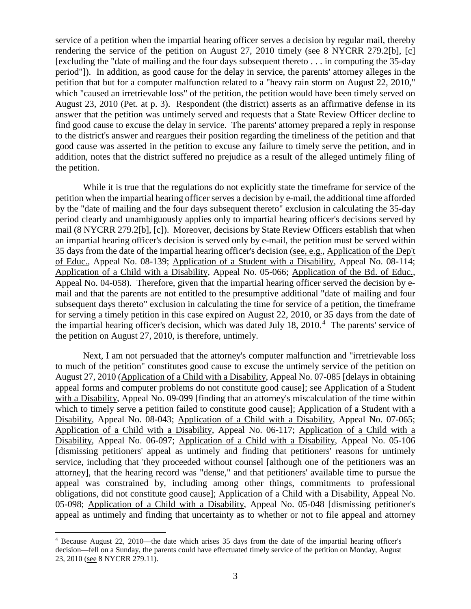service of a petition when the impartial hearing officer serves a decision by regular mail, thereby rendering the service of the petition on August 27, 2010 timely (see 8 NYCRR 279.2[b], [c] [excluding the "date of mailing and the four days subsequent thereto  $\dots$  in computing the 35-day period"]). In addition, as good cause for the delay in service, the parents' attorney alleges in the petition that but for a computer malfunction related to a "heavy rain storm on August 22, 2010," which "caused an irretrievable loss" of the petition, the petition would have been timely served on August 23, 2010 (Pet. at p. 3). Respondent (the district) asserts as an affirmative defense in its answer that the petition was untimely served and requests that a State Review Officer decline to find good cause to excuse the delay in service. The parents' attorney prepared a reply in response to the district's answer and reargues their position regarding the timeliness of the petition and that good cause was asserted in the petition to excuse any failure to timely serve the petition, and in addition, notes that the district suffered no prejudice as a result of the alleged untimely filing of the petition.

While it is true that the regulations do not explicitly state the timeframe for service of the petition when the impartial hearing officer serves a decision by e-mail, the additional time afforded by the "date of mailing and the four days subsequent thereto" exclusion in calculating the 35-day period clearly and unambiguously applies only to impartial hearing officer's decisions served by mail (8 NYCRR 279.2[b], [c]). Moreover, decisions by State Review Officers establish that when an impartial hearing officer's decision is served only by e-mail, the petition must be served within 35 days from the date of the impartial hearing officer's decision (see, e.g., Application of the Dep't of Educ., Appeal No. 08-139; Application of a Student with a Disability, Appeal No. 08-114; Application of a Child with a Disability, Appeal No. 05-066; Application of the Bd. of Educ., Appeal No. 04-058). Therefore, given that the impartial hearing officer served the decision by email and that the parents are not entitled to the presumptive additional "date of mailing and four subsequent days thereto" exclusion in calculating the time for service of a petition, the timeframe for serving a timely petition in this case expired on August 22, 2010, or 35 days from the date of the impartial hearing officer's decision, which was dated July 18,  $2010<sup>4</sup>$  The parents' service of the petition on August 27, 2010, is therefore, untimely.

Next, I am not persuaded that the attorney's computer malfunction and "irretrievable loss to much of the petition" constitutes good cause to excuse the untimely service of the petition on August 27, 2010 (Application of a Child with a Disability, Appeal No. 07-085 [delays in obtaining appeal forms and computer problems do not constitute good cause]; see Application of a Student with a Disability, Appeal No. 09-099 [finding that an attorney's miscalculation of the time within which to timely serve a petition failed to constitute good cause]; Application of a Student with a Disability, Appeal No. 08-043; Application of a Child with a Disability, Appeal No. 07-065; Application of a Child with a Disability, Appeal No. 06-117; Application of a Child with a Disability, Appeal No. 06-097; Application of a Child with a Disability, Appeal No. 05-106 [dismissing petitioners' appeal as untimely and finding that petitioners' reasons for untimely service, including that 'they proceeded without counsel [although one of the petitioners was an attorney], that the hearing record was "dense," and that petitioners' available time to pursue the appeal was constrained by, including among other things, commitments to professional obligations, did not constitute good cause]; Application of a Child with a Disability, Appeal No. 05-098; Application of a Child with a Disability, Appeal No. 05-048 [dismissing petitioner's appeal as untimely and finding that uncertainty as to whether or not to file appeal and attorney

 <sup>4</sup> Because August 22, 2010—the date which arises 35 days from the date of the impartial hearing officer's decision—fell on a Sunday, the parents could have effectuated timely service of the petition on Monday, August 23, 2010 (see 8 NYCRR 279.11).